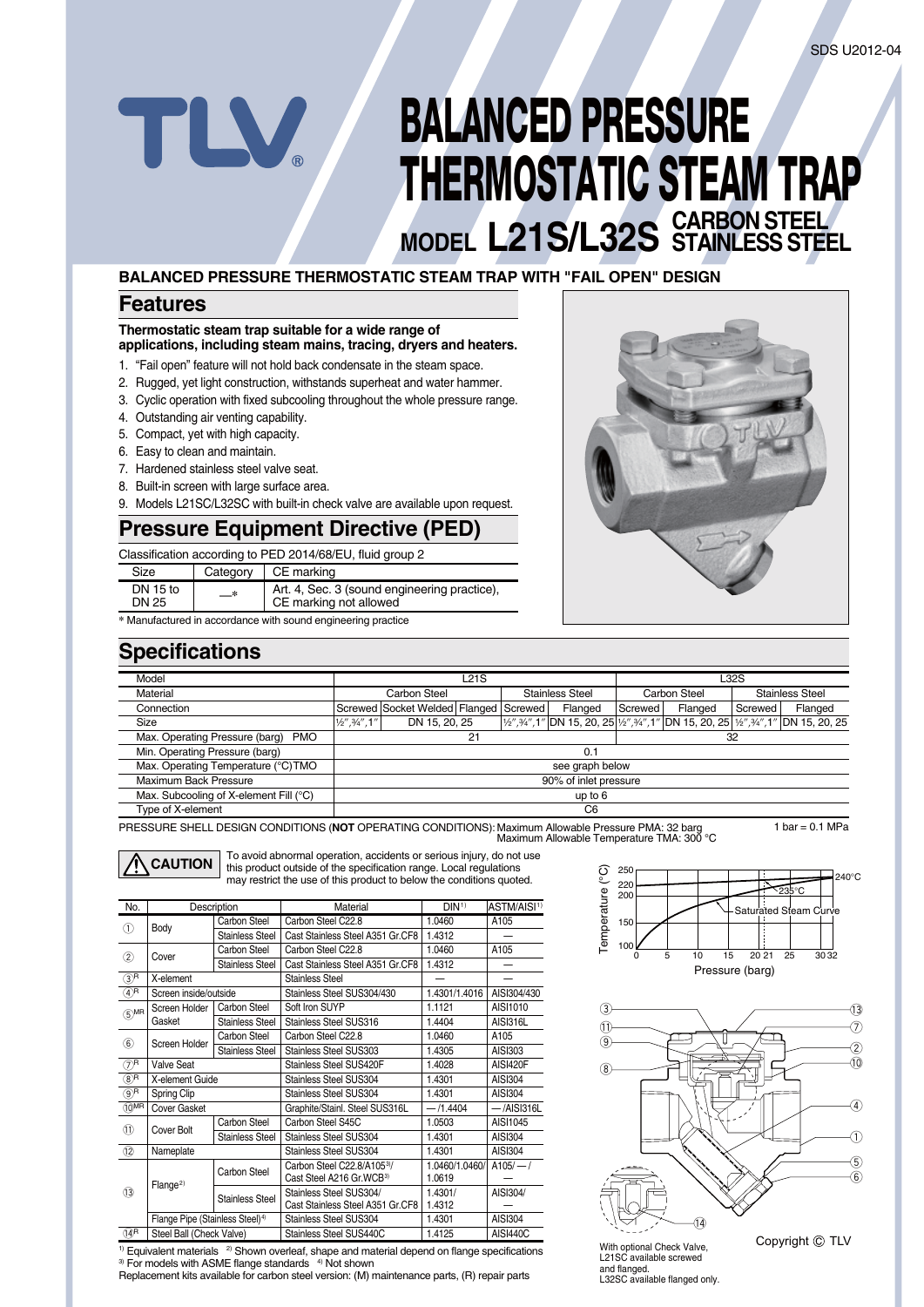# **BALANCED PRESSURE THERMOSTATIC STEAM TRAP**

**MODEL L21S/L32S CARBON STEEL STAINLESS STEEL**

### **BALANCED PRESSURE THERMOSTATIC STEAM TRAP WITH "FAIL OPEN" DESIGN**

### **Features**

#### **Thermostatic steam trap suitable for a wide range of applications, including steam mains, tracing, dryers and heaters.**

- 1. "Fail open" feature will not hold back condensate in the steam space.
- 2. Rugged, yet light construction, withstands superheat and water hammer.
- 3. Cyclic operation with fixed subcooling throughout the whole pressure range.
- 4. Outstanding air venting capability.

TLV

- 5. Compact, yet with high capacity.
- 6. Easy to clean and maintain.
- 7. Hardened stainless steel valve seat.
- 8. Built-in screen with large surface area.
- 9. Models L21SC/L32SC with built-in check valve are available upon request.

## **Pressure Equipment Directive (PED)**

Classification according to PED 2014/68/EU, fluid group 2

| Size              | Category | CE marking                                                             |
|-------------------|----------|------------------------------------------------------------------------|
| DN 15 to<br>DN 25 | —*       | Art. 4, Sec. 3 (sound engineering practice),<br>CE marking not allowed |

**\*** Manufactured in accordance with sound engineering practice

# **Specifications**

| Model                                  |                                       | L21S          |  |                        |         | L32S                |         |                        |                                                                                  |
|----------------------------------------|---------------------------------------|---------------|--|------------------------|---------|---------------------|---------|------------------------|----------------------------------------------------------------------------------|
| Material                               | Carbon Steel                          |               |  | <b>Stainless Steel</b> |         | <b>Carbon Steel</b> |         | <b>Stainless Steel</b> |                                                                                  |
| Connection                             | Screwed Socket Welded Flanged Screwed |               |  |                        | Flanged | Screwed             | Flanged | Screwed                | Flanged                                                                          |
| Size                                   | $1/2$ ", $3/4$ ", 1"                  | DN 15, 20, 25 |  |                        |         |                     |         |                        | 1/2",3/4",1" DN 15, 20, 25 1/2",3/4",1" DN 15, 20, 25 1/2",3/4",1" DN 15, 20, 25 |
| Max. Operating Pressure (barg) PMO     | 21                                    |               |  |                        | 32      |                     |         |                        |                                                                                  |
| Min. Operating Pressure (barg)         |                                       |               |  |                        | 0.1     |                     |         |                        |                                                                                  |
| Max. Operating Temperature (°C)TMO     | see graph below                       |               |  |                        |         |                     |         |                        |                                                                                  |
| Maximum Back Pressure                  | 90% of inlet pressure                 |               |  |                        |         |                     |         |                        |                                                                                  |
| Max. Subcooling of X-element Fill (°C) | up to $6$                             |               |  |                        |         |                     |         |                        |                                                                                  |
| Type of X-element                      | C <sub>6</sub>                        |               |  |                        |         |                     |         |                        |                                                                                  |

1 bar =  $0.1$  MPa PRESSURE SHELL DESIGN CONDITIONS (**NOT** OPERATING CONDITIONS): Maximum Allowable Pressure PMA: 32 barg Maximum Allowable Temperature TMA: 300 °C

**CAUTION**

To avoid abnormal operation, accidents or serious injury, do not use this product outside of the specification range. Local regulations may restrict the use of this product to below the conditions quoted.

| No.                        |                                             | Description                      | Material                             | DIN <sup>1</sup> | ASTM/AISI <sup>1</sup> |
|----------------------------|---------------------------------------------|----------------------------------|--------------------------------------|------------------|------------------------|
|                            |                                             | Carbon Steel                     | Carbon Steel C22.8                   | 1.0460           | A105                   |
| ⋒<br>Body                  | <b>Stainless Steel</b>                      | Cast Stainless Steel A351 Gr.CF8 | 1.4312                               |                  |                        |
| $^{\rm (2)}$               | Cover                                       | Carbon Steel                     | Carbon Steel C22.8                   | 1.0460           | A <sub>105</sub>       |
|                            |                                             | Stainless Steel                  | Cast Stainless Steel A351 Gr.CF8     | 1.4312           |                        |
| (3) <sup>R</sup>           | X-element                                   |                                  | Stainless Steel                      |                  |                        |
| $\circled{4}^{\mathsf{R}}$ | Screen inside/outside                       |                                  | Stainless Steel SUS304/430           | 1.4301/1.4016    | AISI304/430            |
| $(5)$ MR                   | Screen Holder                               | Carbon Steel                     | Soft Iron SUYP                       | 1.1121           | AISI1010               |
|                            | Gasket                                      | Stainless Steel                  | Stainless Steel SUS316               | 1.4404           | AISI316L               |
| $\circledast$              | Screen Holder                               | Carbon Steel                     | Carbon Steel C22.8                   | 1.0460           | A105                   |
|                            |                                             | Stainless Steel                  | Stainless Steel SUS303               | 1.4305           | AISI303                |
| $(7)^R$                    | Valve Seat                                  |                                  | Stainless Steel SUS420F              | 1.4028           | <b>AISI420F</b>        |
| $(8)^R$                    | X-element Guide                             |                                  | Stainless Steel SUS304               | 1.4301           | AISI304                |
| $(9)$ R                    | Spring Clip                                 |                                  | Stainless Steel SUS304               | 1.4301           | AISI304                |
| $(10)$ MR                  | Cover Gasket                                |                                  | Graphite/Stainl. Steel SUS316L       | $-11.4404$       | $-$ /AISI316L          |
| $\textcircled{\tiny{1}}$   | Cover Bolt                                  | Carbon Steel                     | Carbon Steel S45C                    | 1.0503           | AISI1045               |
|                            |                                             | Stainless Steel                  | Stainless Steel SUS304               | 1.4301           | AISI304                |
| $\circled{12}$             | Nameplate                                   |                                  | Stainless Steel SUS304               | 1.4301           | AISI304                |
|                            |                                             | Carbon Steel                     | Carbon Steel C22.8/A1053/            | 1.0460/1.0460/   | $A105/-/$              |
|                            | Flange <sup>2</sup>                         |                                  | Cast Steel A216 Gr.WCB <sup>3)</sup> | 1.0619           |                        |
| (13)                       |                                             | Stainless Steel                  | Stainless Steel SUS304/              | 1.4301/          | AISI304/               |
|                            |                                             |                                  | Cast Stainless Steel A351 Gr.CF8     | 1.4312           |                        |
|                            | Flange Pipe (Stainless Steel) <sup>4)</sup> |                                  | Stainless Steel SUS304               | 1.4301           | AISI304                |
| $(14)$ <sup>R</sup>        | Steel Ball (Check Valve)                    |                                  | Stainless Steel SUS440C              | 1.4125           | <b>AISI440C</b>        |

 $1)$  Equivalent materials  $2)$  Shown overleaf, shape and material depend on flange specifications <sup>3)</sup> For models with ASME flange standards <sup>4)</sup> Not shown







With optional Check Valve, L21SC available screwed and flanged. L32SC available flanged only. Copyright  $@$  TLV